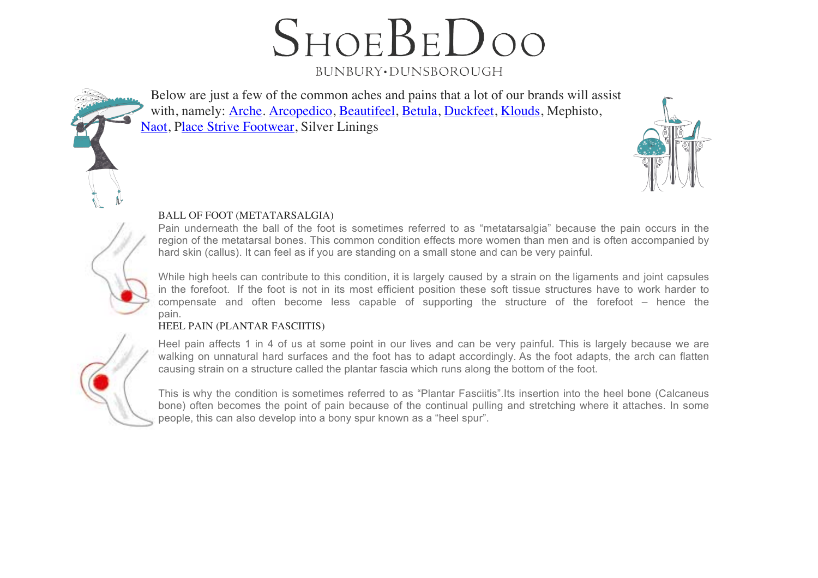$S$ HOE $B$ E $D$ OO BUNBURY.DUNSBOROUGH

Below are just a few of the common aches and pains that a lot of our brands will assist with, namely: Arche. Arcopedico, Beautifeel, Betula, Duckfeet, Klouds, Mephisto, Naot, Place Strive Footwear, Silver Linings



## BALL OF FOOT (METATARSALGIA)

Pain underneath the ball of the foot is sometimes referred to as "metatarsalgia" because the pain occurs in the region of the metatarsal bones. This common condition effects more women than men and is often accompanied by hard skin (callus). It can feel as if you are standing on a small stone and can be very painful.

While high heels can contribute to this condition, it is largely caused by a strain on the ligaments and joint capsules in the forefoot. If the foot is not in its most efficient position these soft tissue structures have to work harder to compensate and often become less capable of supporting the structure of the forefoot – hence the pain.

## HEEL PAIN (PLANTAR FASCIITIS)

Heel pain affects 1 in 4 of us at some point in our lives and can be very painful. This is largely because we are walking on unnatural hard surfaces and the foot has to adapt accordingly. As the foot adapts, the arch can flatten causing strain on a structure called the plantar fascia which runs along the bottom of the foot.

This is why the condition is sometimes referred to as "Plantar Fasciitis".Its insertion into the heel bone (Calcaneus bone) often becomes the point of pain because of the continual pulling and stretching where it attaches. In some people, this can also develop into a bony spur known as a "heel spur".